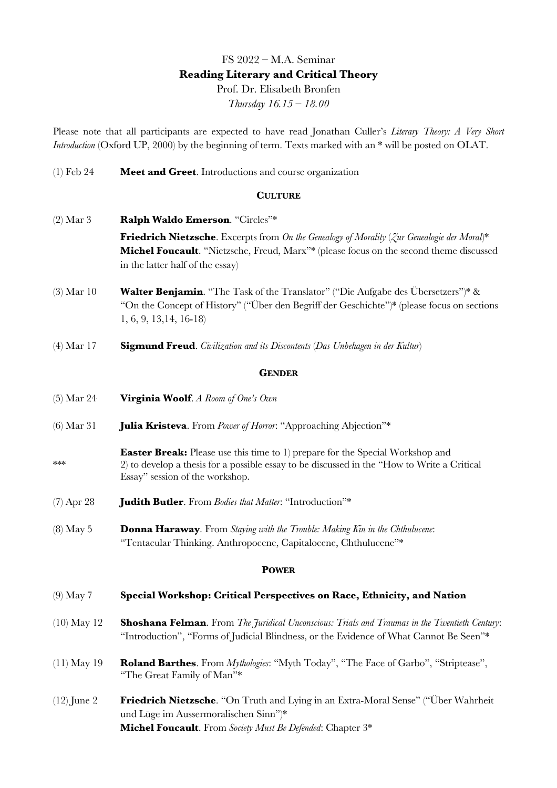# FS 2022 – M.A. Seminar **Reading Literary and Critical Theory** Prof. Dr. Elisabeth Bronfen *Thursday 16.15 – 18.00*

Please note that all participants are expected to have read Jonathan Culler's *Literary Theory: A Very Short Introduction* (Oxford UP, 2000) by the beginning of term. Texts marked with an \* will be posted on OLAT.

(1) Feb 24 **Meet and Greet**. Introductions and course organization

### **CULTURE**

- (2) Mar 3 **Ralph Waldo Emerson**. "Circles"\* **Friedrich Nietzsche**. Excerpts from *On the Genealogy of Morality* (*Zur Genealogie der Moral*)\* **Michel Foucault**. "Nietzsche, Freud, Marx"\* (please focus on the second theme discussed in the latter half of the essay)
- (3) Mar 10 **Walter Benjamin**. "The Task of the Translator" ("Die Aufgabe des Übersetzers")\* & "On the Concept of History" ("Über den Begriff der Geschichte")\* (please focus on sections 1, 6, 9, 13,14, 16-18)
- (4) Mar 17 **Sigmund Freud**. *Civilization and its Discontents* (*Das Unbehagen in der Kultur*)

### **GENDER**

- (5) Mar 24 **Virginia Woolf**. *A Room of One's Own*
- (6) Mar 31 **Julia Kristeva**. From *Power of Horror*: "Approaching Abjection"\*
- **Easter Break:** Please use this time to 1) prepare for the Special Workshop and \*\*\* 2) to develop a thesis for a possible essay to be discussed in the "How to Write a Critical Essay" session of the workshop.
- (7) Apr 28 **Judith Butler**. From *Bodies that Matter*: "Introduction"\*
- (8) May 5 **Donna Haraway**. From *Staying with the Trouble: Making Kin in the Chthulucene*: "Tentacular Thinking. Anthropocene, Capitalocene, Chthulucene"\*

#### **POWER**

#### (9) May 7 **Special Workshop: Critical Perspectives on Race, Ethnicity, and Nation**

- (10) May 12 **Shoshana Felman**. From *The Juridical Unconscious: Trials and Traumas in the Twentieth Century*: "Introduction", "Forms of Judicial Blindness, or the Evidence of What Cannot Be Seen"\*
- (11) May 19 **Roland Barthes**. From *Mythologies*: "Myth Today", "The Face of Garbo", "Striptease", "The Great Family of Man"\*
- (12) June 2 **Friedrich Nietzsche**. "On Truth and Lying in an Extra-Moral Sense" ("Über Wahrheit und Lüge im Aussermoralischen Sinn")\* **Michel Foucault**. From *Society Must Be Defended*: Chapter 3\*